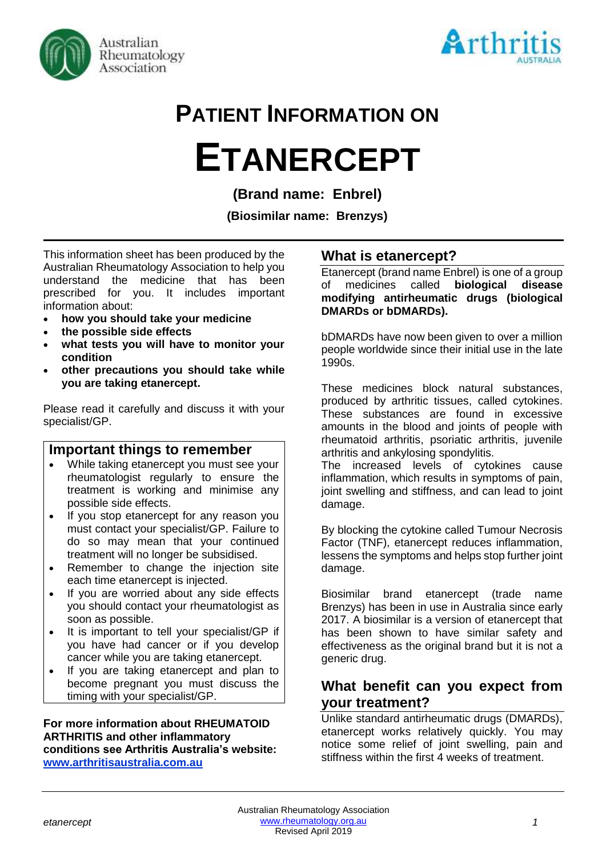



# **PATIENT INFORMATION ON**

# **ETANERCEPT**

**(Brand name: Enbrel)**

**(Biosimilar name: Brenzys)**

This information sheet has been produced by the Australian Rheumatology Association to help you understand the medicine that has been prescribed for you. It includes important information about:

- **how you should take your medicine**
- **the possible side effects**
- **what tests you will have to monitor your condition**
- **other precautions you should take while you are taking etanercept.**

Please read it carefully and discuss it with your specialist/GP.

# **Important things to remember**

- While taking etanercept you must see your rheumatologist regularly to ensure the treatment is working and minimise any possible side effects.
- If you stop etanercept for any reason you must contact your specialist/GP. Failure to do so may mean that your continued treatment will no longer be subsidised.
- Remember to change the injection site each time etanercept is injected.
- If you are worried about any side effects you should contact your rheumatologist as soon as possible.
- It is important to tell your specialist/GP if you have had cancer or if you develop cancer while you are taking etanercept.
- If you are taking etanercept and plan to become pregnant you must discuss the timing with your specialist/GP.

#### **For more information about RHEUMATOID ARTHRITIS and other inflammatory conditions see Arthritis Australia's website: [www.arthritisaustralia.com.au](http://www.arthritisaustralia.com.au/)**

# **What is etanercept?**

Etanercept (brand name Enbrel) is one of a group of medicines called **biological disease modifying antirheumatic drugs (biological DMARDs or bDMARDs).** 

bDMARDs have now been given to over a million people worldwide since their initial use in the late 1990s.

These medicines block natural substances, produced by arthritic tissues, called cytokines. These substances are found in excessive amounts in the blood and joints of people with rheumatoid arthritis, psoriatic arthritis, juvenile arthritis and ankylosing spondylitis.

The increased levels of cytokines cause inflammation, which results in symptoms of pain, joint swelling and stiffness, and can lead to joint damage.

By blocking the cytokine called Tumour Necrosis Factor (TNF), etanercept reduces inflammation, lessens the symptoms and helps stop further joint damage.

Biosimilar brand etanercept (trade name Brenzys) has been in use in Australia since early 2017. A biosimilar is a version of etanercept that has been shown to have similar safety and effectiveness as the original brand but it is not a generic drug.

# **What benefit can you expect from your treatment?**

Unlike standard antirheumatic drugs (DMARDs), etanercept works relatively quickly. You may notice some relief of joint swelling, pain and stiffness within the first 4 weeks of treatment.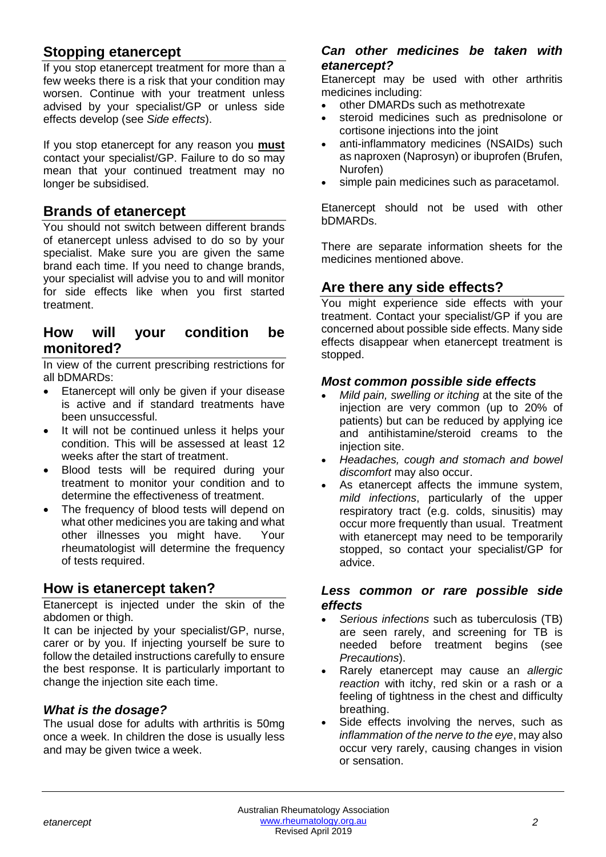# **Stopping etanercept**

If you stop etanercept treatment for more than a few weeks there is a risk that your condition may worsen. Continue with your treatment unless advised by your specialist/GP or unless side effects develop (see *Side effects*).

If you stop etanercept for any reason you **must** contact your specialist/GP. Failure to do so may mean that your continued treatment may no longer be subsidised.

# **Brands of etanercept**

You should not switch between different brands of etanercept unless advised to do so by your specialist. Make sure you are given the same brand each time. If you need to change brands, your specialist will advise you to and will monitor for side effects like when you first started treatment.

# **How will your condition be monitored?**

In view of the current prescribing restrictions for all bDMARDs:

- Etanercept will only be given if your disease is active and if standard treatments have been unsuccessful.
- It will not be continued unless it helps your condition. This will be assessed at least 12 weeks after the start of treatment.
- Blood tests will be required during your treatment to monitor your condition and to determine the effectiveness of treatment.
- The frequency of blood tests will depend on what other medicines you are taking and what other illnesses you might have. Your rheumatologist will determine the frequency of tests required.

# **How is etanercept taken?**

Etanercept is injected under the skin of the abdomen or thigh.

It can be injected by your specialist/GP, nurse, carer or by you. If injecting yourself be sure to follow the detailed instructions carefully to ensure the best response. It is particularly important to change the injection site each time.

# *What is the dosage?*

The usual dose for adults with arthritis is 50mg once a week. In children the dose is usually less and may be given twice a week.

#### *Can other medicines be taken with etanercept?*

Etanercept may be used with other arthritis medicines including:

- other DMARDs such as methotrexate
- steroid medicines such as prednisolone or cortisone injections into the joint
- anti-inflammatory medicines (NSAIDs) such as naproxen (Naprosyn) or ibuprofen (Brufen, Nurofen)
- simple pain medicines such as paracetamol.

Etanercept should not be used with other bDMARDs.

There are separate information sheets for the medicines mentioned above.

# **Are there any side effects?**

You might experience side effects with your treatment. Contact your specialist/GP if you are concerned about possible side effects. Many side effects disappear when etanercept treatment is stopped.

#### *Most common possible side effects*

- *Mild pain, swelling or itching* at the site of the injection are very common (up to 20% of patients) but can be reduced by applying ice and antihistamine/steroid creams to the injection site.
- *Headaches, cough and stomach and bowel discomfort* may also occur.
- As etanercept affects the immune system. *mild infections*, particularly of the upper respiratory tract (e.g. colds, sinusitis) may occur more frequently than usual. Treatment with etanercept may need to be temporarily stopped, so contact your specialist/GP for advice.

#### *Less common or rare possible side effects*

- *Serious infections* such as tuberculosis (TB) are seen rarely, and screening for TB is needed before treatment begins (see *Precautions*).
- Rarely etanercept may cause an *allergic reaction* with itchy, red skin or a rash or a feeling of tightness in the chest and difficulty breathing.
- Side effects involving the nerves, such as *inflammation of the nerve to the eye*, may also occur very rarely, causing changes in vision or sensation.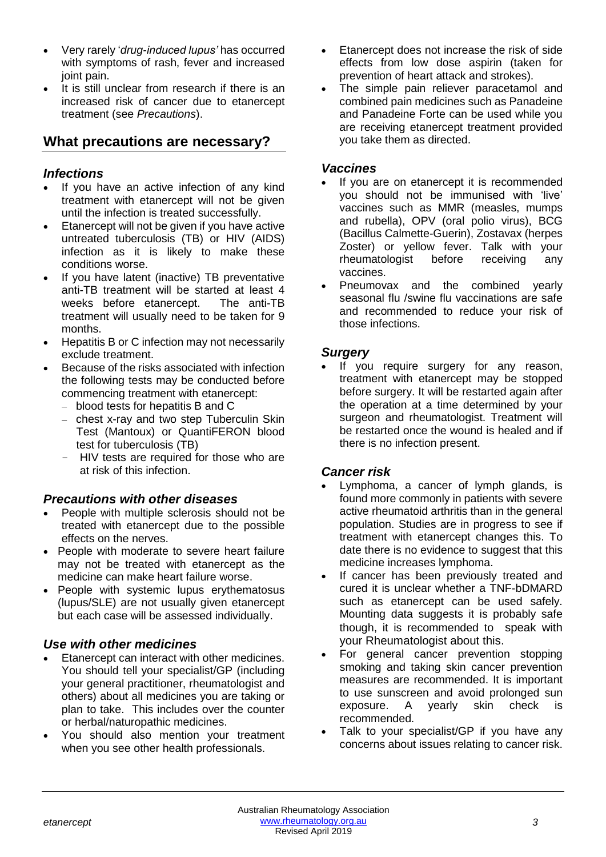- Very rarely '*drug-induced lupus'* has occurred with symptoms of rash, fever and increased joint pain.
- It is still unclear from research if there is an increased risk of cancer due to etanercept treatment (see *Precautions*).

# **What precautions are necessary?**

#### *Infections*

- If you have an active infection of any kind treatment with etanercept will not be given until the infection is treated successfully.
- Etanercept will not be given if you have active untreated tuberculosis (TB) or HIV (AIDS) infection as it is likely to make these conditions worse.
- If you have latent (inactive) TB preventative anti-TB treatment will be started at least 4 weeks before etanercept. The anti-TB treatment will usually need to be taken for 9 months.
- Hepatitis B or C infection may not necessarily exclude treatment.
- Because of the risks associated with infection the following tests may be conducted before commencing treatment with etanercept:
	- − blood tests for hepatitis B and C
	- − chest x-ray and two step Tuberculin Skin Test (Mantoux) or QuantiFERON blood test for tuberculosis (TB)
	- HIV tests are required for those who are at risk of this infection.

# *Precautions with other diseases*

- People with multiple sclerosis should not be treated with etanercept due to the possible effects on the nerves.
- People with moderate to severe heart failure may not be treated with etanercept as the medicine can make heart failure worse.
- People with systemic lupus erythematosus (lupus/SLE) are not usually given etanercept but each case will be assessed individually.

# *Use with other medicines*

- Etanercept can interact with other medicines. You should tell your specialist/GP (including your general practitioner, rheumatologist and others) about all medicines you are taking or plan to take. This includes over the counter or herbal/naturopathic medicines.
- You should also mention your treatment when you see other health professionals.
- Etanercept does not increase the risk of side effects from low dose aspirin (taken for prevention of heart attack and strokes).
- The simple pain reliever paracetamol and combined pain medicines such as Panadeine and Panadeine Forte can be used while you are receiving etanercept treatment provided you take them as directed.

#### *Vaccines*

- If you are on etanercept it is recommended you should not be immunised with 'live' vaccines such as MMR (measles, mumps and rubella), OPV (oral polio virus), BCG (Bacillus Calmette-Guerin), Zostavax (herpes Zoster) or yellow fever. Talk with your rheumatologist before receiving any vaccines.
- Pneumovax and the combined yearly seasonal flu /swine flu vaccinations are safe and recommended to reduce your risk of those infections.

# *Surgery*

If you require surgery for any reason, treatment with etanercept may be stopped before surgery. It will be restarted again after the operation at a time determined by your surgeon and rheumatologist. Treatment will be restarted once the wound is healed and if there is no infection present.

# *Cancer risk*

- Lymphoma, a cancer of lymph glands, is found more commonly in patients with severe active rheumatoid arthritis than in the general population. Studies are in progress to see if treatment with etanercept changes this. To date there is no evidence to suggest that this medicine increases lymphoma.
- If cancer has been previously treated and cured it is unclear whether a TNF-bDMARD such as etanercept can be used safely. Mounting data suggests it is probably safe though, it is recommended to speak with your Rheumatologist about this.
- For general cancer prevention stopping smoking and taking skin cancer prevention measures are recommended. It is important to use sunscreen and avoid prolonged sun exposure. A yearly skin check is recommended.
- Talk to your specialist/GP if you have any concerns about issues relating to cancer risk.